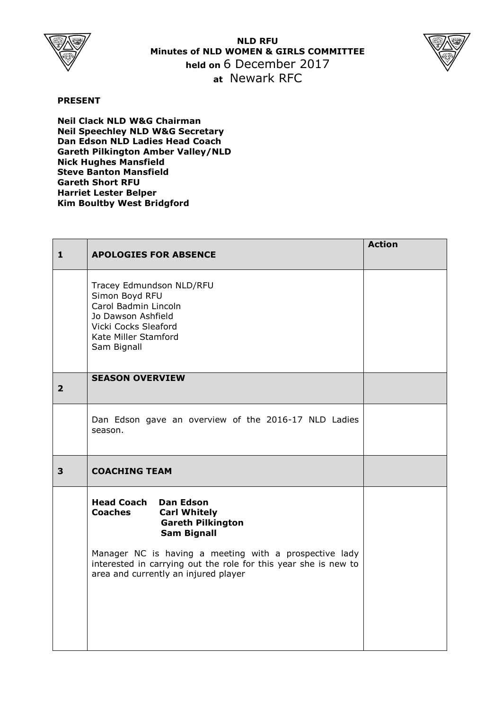

**NLD RFU Minutes of NLD WOMEN & GIRLS COMMITTEE held on** 6 December 2017 **at** Newark RFC



## **PRESENT**

**Neil Clack NLD W&G Chairman Neil Speechley NLD W&G Secretary Dan Edson NLD Ladies Head Coach Gareth Pilkington Amber Valley/NLD Nick Hughes Mansfield Steve Banton Mansfield Gareth Short RFU Harriet Lester Belper Kim Boultby West Bridgford**

| $\mathbf{1}$   | <b>APOLOGIES FOR ABSENCE</b>                                                                                                                                                                                                                                                                | <b>Action</b> |
|----------------|---------------------------------------------------------------------------------------------------------------------------------------------------------------------------------------------------------------------------------------------------------------------------------------------|---------------|
|                | Tracey Edmundson NLD/RFU<br>Simon Boyd RFU<br>Carol Badmin Lincoln<br>Jo Dawson Ashfield<br>Vicki Cocks Sleaford<br>Kate Miller Stamford<br>Sam Bignall                                                                                                                                     |               |
| $\overline{2}$ | <b>SEASON OVERVIEW</b>                                                                                                                                                                                                                                                                      |               |
|                | Dan Edson gave an overview of the 2016-17 NLD Ladies<br>season.                                                                                                                                                                                                                             |               |
| 3              | <b>COACHING TEAM</b>                                                                                                                                                                                                                                                                        |               |
|                | <b>Head Coach Dan Edson</b><br><b>Coaches</b><br><b>Carl Whitely</b><br><b>Gareth Pilkington</b><br><b>Sam Bignall</b><br>Manager NC is having a meeting with a prospective lady<br>interested in carrying out the role for this year she is new to<br>area and currently an injured player |               |